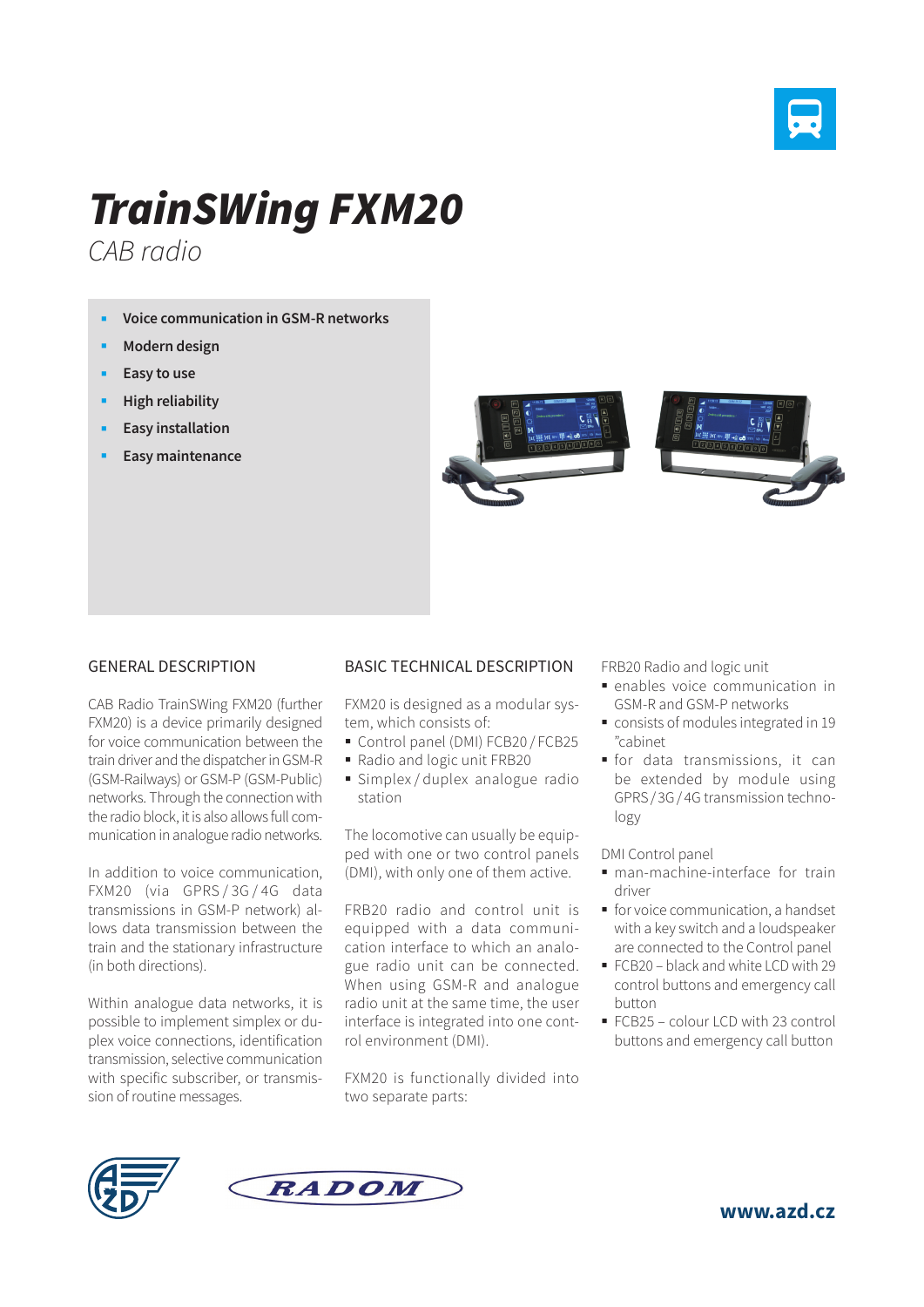

## *TrainSWing FXM20*

*CAB radio*

- **Voice communication in GSM-R networks**
- **Modern design**
- **Easy to use**
- **High reliability**
- **Easy installation**
- **Easy maintenance**



## GENERAL DESCRIPTION

CAB Radio TrainSWing FXM20 (further FXM20) is a device primarily designed for voice communication between the train driver and the dispatcher in GSM-R (GSM-Railways) or GSM-P (GSM-Public) networks. Through the connection with the radio block, it is also allows full communication in analogue radio networks.

In addition to voice communication, FXM20 (via GPRS/3G/4G data transmissions in GSM-P network) allows data transmission between the train and the stationary infrastructure (in both directions).

Within analogue data networks, it is possible to implement simplex or duplex voice connections, identification transmission, selective communication with specific subscriber, or transmission of routine messages.

## BASIC TECHNICAL DESCRIPTION

FXM20 is designed as a modular system, which consists of:

- Control panel (DMI) FCB20 / FCB25
- Radio and logic unit FRB20
- Simplex / duplex analogue radio station

The locomotive can usually be equipped with one or two control panels (DMI), with only one of them active.

FRB20 radio and control unit is equipped with a data communication interface to which an analogue radio unit can be connected. When using GSM-R and analogue radio unit at the same time, the user interface is integrated into one control environment (DMI).

FXM20 is functionally divided into two separate parts:

FRB20 Radio and logic unit

- enables voice communication in GSM-R and GSM-P networks
- consists of modules integrated in 19 "cabinet
- for data transmissions, it can be extended by module using GPRS/ 3G/ 4G transmission technology

DMI Control panel

- man-machine-interface for train driver
- **for voice communication, a handset** with a key switch and a loudspeaker are connected to the Control panel
- FCB20 black and white LCD with 29 control buttons and emergency call button
- FCB25 colour LCD with 23 control buttons and emergency call button





**www.azd.cz**